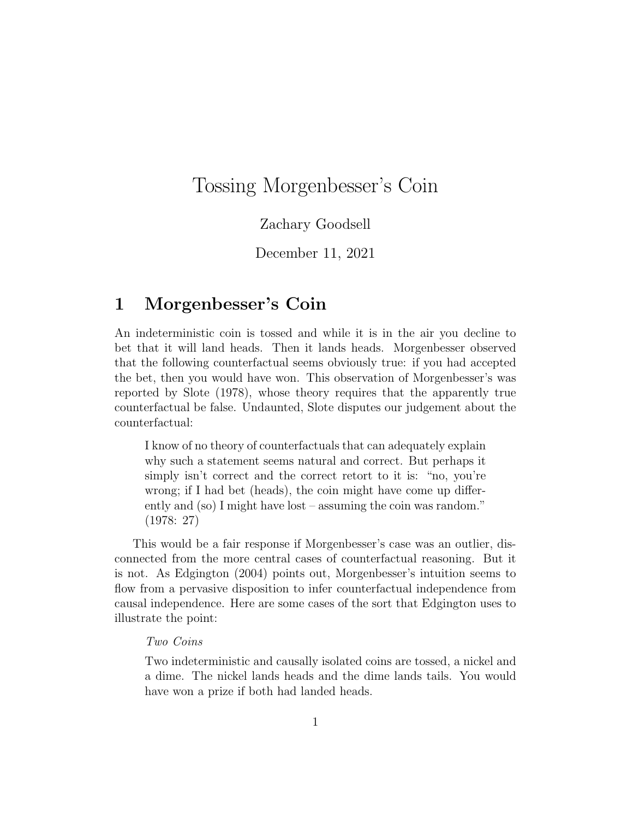# Tossing Morgenbesser's Coin

### Zachary Goodsell

December 11, 2021

## 1 Morgenbesser's Coin

An indeterministic coin is tossed and while it is in the air you decline to bet that it will land heads. Then it lands heads. Morgenbesser observed that the following counterfactual seems obviously true: if you had accepted the bet, then you would have won. This observation of Morgenbesser's was reported by Slote [\(1978\)](#page-9-0), whose theory requires that the apparently true counterfactual be false. Undaunted, Slote disputes our judgement about the counterfactual:

I know of no theory of counterfactuals that can adequately explain why such a statement seems natural and correct. But perhaps it simply isn't correct and the correct retort to it is: "no, you're wrong; if I had bet (heads), the coin might have come up differently and (so) I might have lost – assuming the coin was random." [\(1978:](#page-9-0) 27)

This would be a fair response if Morgenbesser's case was an outlier, disconnected from the more central cases of counterfactual reasoning. But it is not. As Edgington [\(2004\)](#page-9-1) points out, Morgenbesser's intuition seems to flow from a pervasive disposition to infer counterfactual independence from causal independence. Here are some cases of the sort that Edgington uses to illustrate the point:

#### Two Coins

Two indeterministic and causally isolated coins are tossed, a nickel and a dime. The nickel lands heads and the dime lands tails. You would have won a prize if both had landed heads.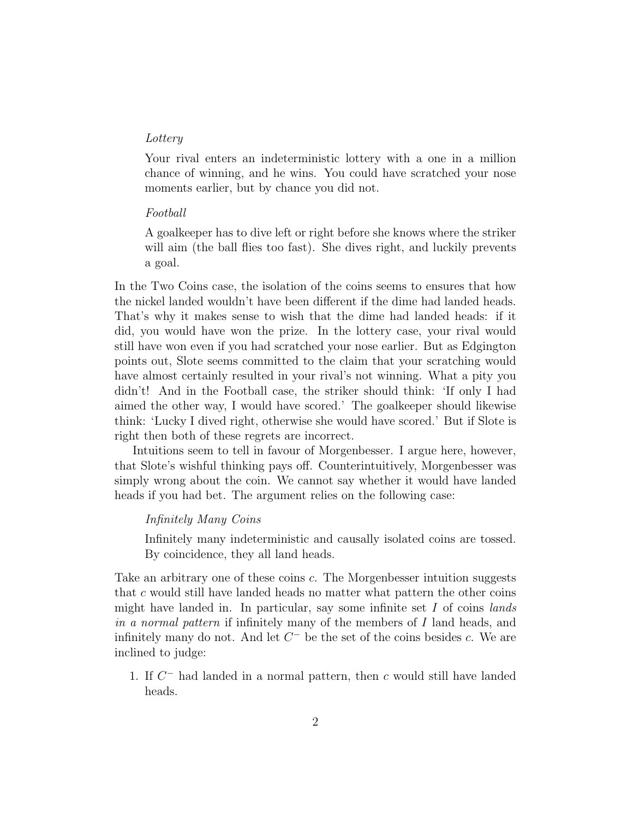#### Lottery

Your rival enters an indeterministic lottery with a one in a million chance of winning, and he wins. You could have scratched your nose moments earlier, but by chance you did not.

#### Football

A goalkeeper has to dive left or right before she knows where the striker will aim (the ball flies too fast). She dives right, and luckily prevents a goal.

In the Two Coins case, the isolation of the coins seems to ensures that how the nickel landed wouldn't have been different if the dime had landed heads. That's why it makes sense to wish that the dime had landed heads: if it did, you would have won the prize. In the lottery case, your rival would still have won even if you had scratched your nose earlier. But as Edgington points out, Slote seems committed to the claim that your scratching would have almost certainly resulted in your rival's not winning. What a pity you didn't! And in the Football case, the striker should think: 'If only I had aimed the other way, I would have scored.' The goalkeeper should likewise think: 'Lucky I dived right, otherwise she would have scored.' But if Slote is right then both of these regrets are incorrect.

Intuitions seem to tell in favour of Morgenbesser. I argue here, however, that Slote's wishful thinking pays off. Counterintuitively, Morgenbesser was simply wrong about the coin. We cannot say whether it would have landed heads if you had bet. The argument relies on the following case:

### Infinitely Many Coins

Infinitely many indeterministic and causally isolated coins are tossed. By coincidence, they all land heads.

Take an arbitrary one of these coins c. The Morgenbesser intuition suggests that c would still have landed heads no matter what pattern the other coins might have landed in. In particular, say some infinite set  $I$  of coins lands in a normal pattern if infinitely many of the members of I land heads, and infinitely many do not. And let  $C^-$  be the set of the coins besides c. We are inclined to judge:

<span id="page-1-0"></span>1. If  $C^-$  had landed in a normal pattern, then c would still have landed heads.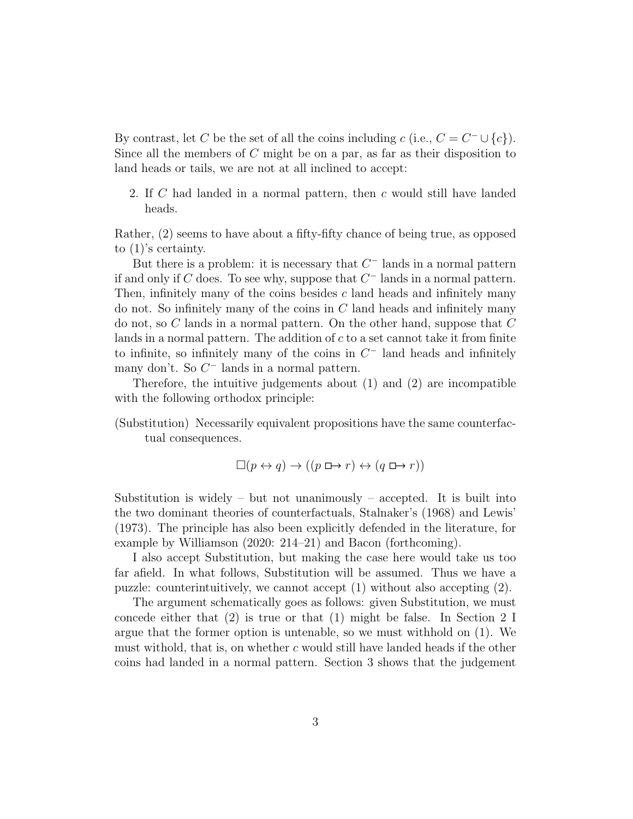By contrast, let C be the set of all the coins including c (i.e.,  $C = C^{-} \cup \{c\}$ ). Since all the members of  $C$  might be on a par, as far as their disposition to land heads or tails, we are not at all inclined to accept:

<span id="page-2-0"></span>2. If C had landed in a normal pattern, then c would still have landed heads.

Rather, [\(2\)](#page-2-0) seems to have about a fifty-fifty chance of being true, as opposed to [\(1\)](#page-1-0)'s certainty.

But there is a problem: it is necessary that  $C^-$  lands in a normal pattern if and only if C does. To see why, suppose that  $C^-$  lands in a normal pattern. Then, infinitely many of the coins besides c land heads and infinitely many do not. So infinitely many of the coins in  $C$  land heads and infinitely many do not, so C lands in a normal pattern. On the other hand, suppose that C lands in a normal pattern. The addition of  $c$  to a set cannot take it from finite to infinite, so infinitely many of the coins in  $C^-$  land heads and infinitely many don't. So  $C^-$  lands in a normal pattern.

Therefore, the intuitive judgements about [\(1\)](#page-1-0) and [\(2\)](#page-2-0) are incompatible with the following orthodox principle:

(Substitution) Necessarily equivalent propositions have the same counterfactual consequences.

$$
\Box(p \leftrightarrow q) \rightarrow ((p \Box \rightarrow r) \leftrightarrow (q \Box \rightarrow r))
$$

Substitution is widely – but not unanimously – accepted. It is built into the two dominant theories of counterfactuals, Stalnaker's [\(1968\)](#page-9-2) and Lewis' [\(1973\)](#page-9-3). The principle has also been explicitly defended in the literature, for example by Williamson [\(2020:](#page-9-4) 214–21) and Bacon [\(forthcoming\)](#page-8-0).

I also accept Substitution, but making the case here would take us too far afield. In what follows, Substitution will be assumed. Thus we have a puzzle: counterintuitively, we cannot accept [\(1\)](#page-1-0) without also accepting [\(2\)](#page-2-0).

The argument schematically goes as follows: given Substitution, we must concede either that  $(2)$  is true or that  $(1)$  might be false. In Section [2](#page-3-0) I argue that the former option is untenable, so we must withhold on (1). We must withold, that is, on whether  $c$  would still have landed heads if the other coins had landed in a normal pattern. Section [3](#page-7-0) shows that the judgement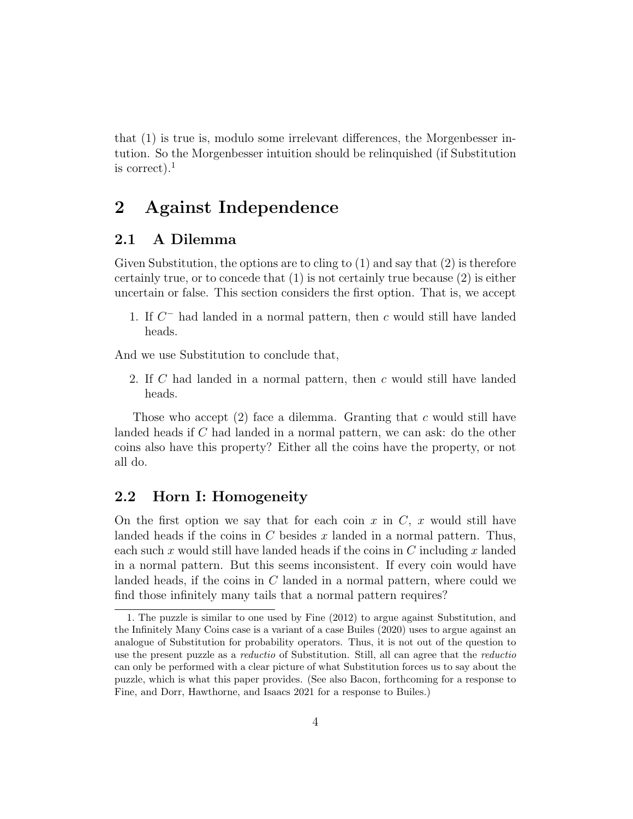that [\(1\)](#page-1-0) is true is, modulo some irrelevant differences, the Morgenbesser intution. So the Morgenbesser intuition should be relinquished (if Substitution is correct). $<sup>1</sup>$  $<sup>1</sup>$  $<sup>1</sup>$ </sup>

## <span id="page-3-0"></span>2 Against Independence

### 2.1 A Dilemma

Given Substitution, the options are to cling to  $(1)$  and say that  $(2)$  is therefore certainly true, or to concede that [\(1\)](#page-1-0) is not certainly true because [\(2\)](#page-2-0) is either uncertain or false. This section considers the first option. That is, we accept

1. If  $C^-$  had landed in a normal pattern, then c would still have landed heads.

And we use Substitution to conclude that,

2. If C had landed in a normal pattern, then c would still have landed heads.

Those who accept [\(2\)](#page-2-0) face a dilemma. Granting that c would still have landed heads if C had landed in a normal pattern, we can ask: do the other coins also have this property? Either all the coins have the property, or not all do.

### 2.2 Horn I: Homogeneity

On the first option we say that for each coin x in  $C$ , x would still have landed heads if the coins in  $C$  besides  $x$  landed in a normal pattern. Thus, each such x would still have landed heads if the coins in  $C$  including x landed in a normal pattern. But this seems inconsistent. If every coin would have landed heads, if the coins in  $C$  landed in a normal pattern, where could we find those infinitely many tails that a normal pattern requires?

<span id="page-3-1"></span><sup>1.</sup> The puzzle is similar to one used by Fine [\(2012\)](#page-9-5) to argue against Substitution, and the Infinitely Many Coins case is a variant of a case Builes [\(2020\)](#page-9-6) uses to argue against an analogue of Substitution for probability operators. Thus, it is not out of the question to use the present puzzle as a reductio of Substitution. Still, all can agree that the reductio can only be performed with a clear picture of what Substitution forces us to say about the puzzle, which is what this paper provides. (See also Bacon, [forthcoming](#page-8-0) for a response to Fine, and Dorr, Hawthorne, and Isaacs [2021](#page-9-7) for a response to Builes.)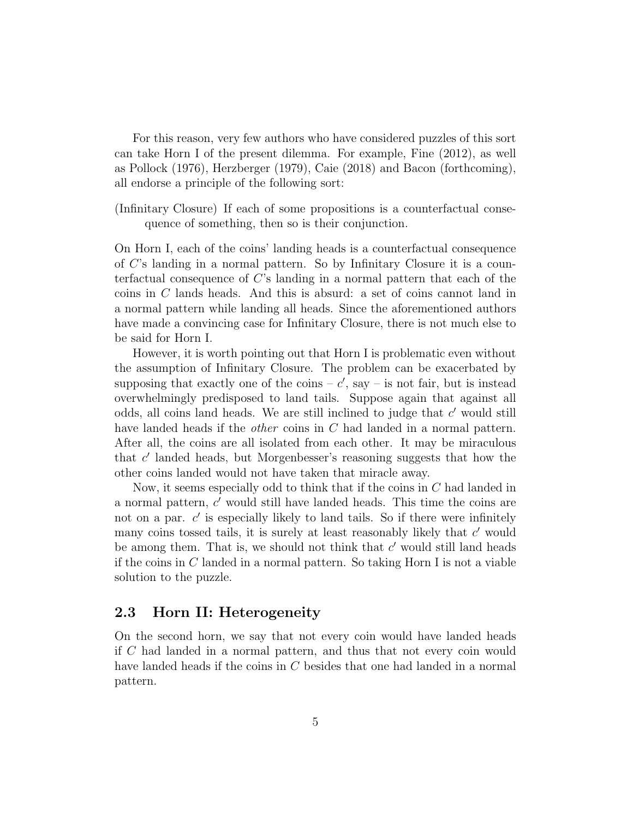For this reason, very few authors who have considered puzzles of this sort can take Horn I of the present dilemma. For example, Fine [\(2012\)](#page-9-5), as well as Pollock [\(1976\)](#page-9-8), Herzberger [\(1979\)](#page-9-9), Caie [\(2018\)](#page-9-10) and Bacon [\(forthcoming\)](#page-8-0), all endorse a principle of the following sort:

(Infinitary Closure) If each of some propositions is a counterfactual consequence of something, then so is their conjunction.

On Horn I, each of the coins' landing heads is a counterfactual consequence of C's landing in a normal pattern. So by Infinitary Closure it is a counterfactual consequence of C's landing in a normal pattern that each of the coins in C lands heads. And this is absurd: a set of coins cannot land in a normal pattern while landing all heads. Since the aforementioned authors have made a convincing case for Infinitary Closure, there is not much else to be said for Horn I.

However, it is worth pointing out that Horn I is problematic even without the assumption of Infinitary Closure. The problem can be exacerbated by supposing that exactly one of the coins  $-c'$ , say  $-$  is not fair, but is instead overwhelmingly predisposed to land tails. Suppose again that against all odds, all coins land heads. We are still inclined to judge that  $c'$  would still have landed heads if the *other* coins in C had landed in a normal pattern. After all, the coins are all isolated from each other. It may be miraculous that  $c'$  landed heads, but Morgenbesser's reasoning suggests that how the other coins landed would not have taken that miracle away.

Now, it seems especially odd to think that if the coins in C had landed in a normal pattern,  $c'$  would still have landed heads. This time the coins are not on a par.  $c'$  is especially likely to land tails. So if there were infinitely many coins tossed tails, it is surely at least reasonably likely that  $c'$  would be among them. That is, we should not think that  $c'$  would still land heads if the coins in  $C$  landed in a normal pattern. So taking Horn I is not a viable solution to the puzzle.

### 2.3 Horn II: Heterogeneity

On the second horn, we say that not every coin would have landed heads if C had landed in a normal pattern, and thus that not every coin would have landed heads if the coins in C besides that one had landed in a normal pattern.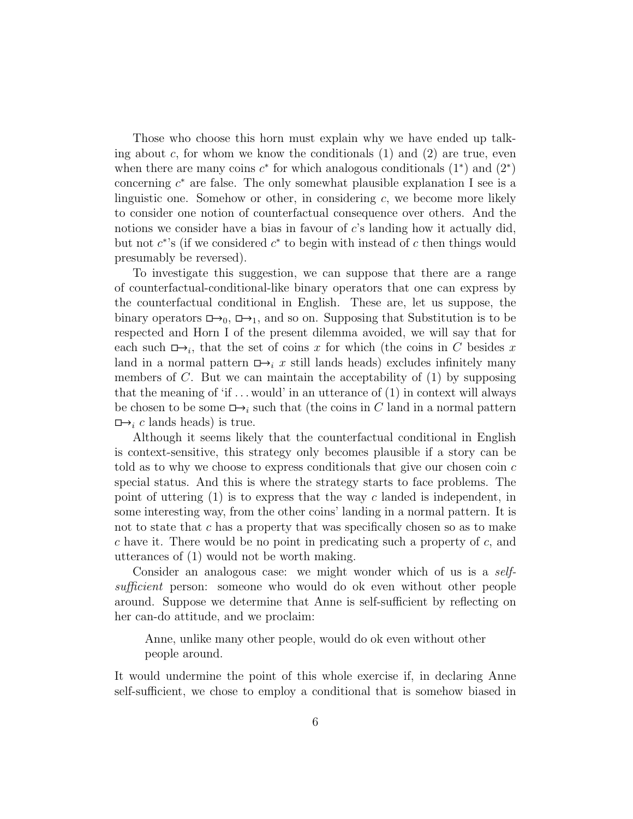Those who choose this horn must explain why we have ended up talking about c, for whom we know the conditionals  $(1)$  and  $(2)$  are true, even when there are many coins  $c^*$  for which analogous conditionals  $(1^*)$  and  $(2^*)$ concerning  $c^*$  are false. The only somewhat plausible explanation I see is a linguistic one. Somehow or other, in considering  $c$ , we become more likely to consider one notion of counterfactual consequence over others. And the notions we consider have a bias in favour of  $c$ 's landing how it actually did, but not  $c^*$ 's (if we considered  $c^*$  to begin with instead of c then things would presumably be reversed).

To investigate this suggestion, we can suppose that there are a range of counterfactual-conditional-like binary operators that one can express by the counterfactual conditional in English. These are, let us suppose, the binary operators  $\Box$ ,  $\Box$ , and so on. Supposing that Substitution is to be respected and Horn I of the present dilemma avoided, we will say that for each such  $\Box \rightarrow_i$ , that the set of coins x for which (the coins in C besides x land in a normal pattern  $\Box$ , x still lands heads) excludes infinitely many members of  $C$ . But we can maintain the acceptability of  $(1)$  by supposing that the meaning of 'if  $\dots$  would' in an utterance of [\(1\)](#page-1-0) in context will always be chosen to be some  $\Box \rightarrow_i$  such that (the coins in C land in a normal pattern  $\Box \rightarrow_i c$  lands heads) is true.

Although it seems likely that the counterfactual conditional in English is context-sensitive, this strategy only becomes plausible if a story can be told as to why we choose to express conditionals that give our chosen coin  $c$ special status. And this is where the strategy starts to face problems. The point of uttering  $(1)$  is to express that the way c landed is independent, in some interesting way, from the other coins' landing in a normal pattern. It is not to state that c has a property that was specifically chosen so as to make c have it. There would be no point in predicating such a property of  $c$ , and utterances of [\(1\)](#page-1-0) would not be worth making.

Consider an analogous case: we might wonder which of us is a *self*sufficient person: someone who would do ok even without other people around. Suppose we determine that Anne is self-sufficient by reflecting on her can-do attitude, and we proclaim:

Anne, unlike many other people, would do ok even without other people around.

It would undermine the point of this whole exercise if, in declaring Anne self-sufficient, we chose to employ a conditional that is somehow biased in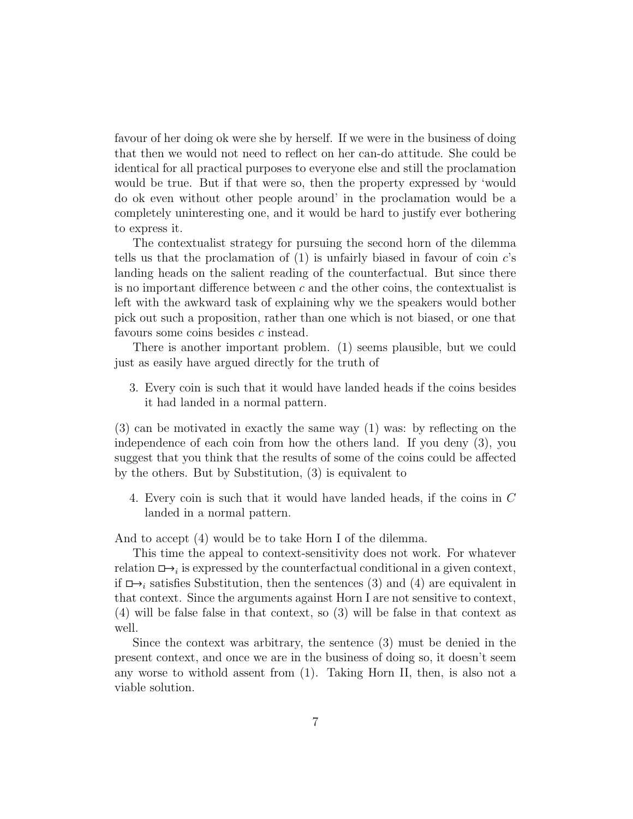favour of her doing ok were she by herself. If we were in the business of doing that then we would not need to reflect on her can-do attitude. She could be identical for all practical purposes to everyone else and still the proclamation would be true. But if that were so, then the property expressed by 'would do ok even without other people around' in the proclamation would be a completely uninteresting one, and it would be hard to justify ever bothering to express it.

The contextualist strategy for pursuing the second horn of the dilemma tells us that the proclamation of  $(1)$  is unfairly biased in favour of coin c's landing heads on the salient reading of the counterfactual. But since there is no important difference between  $c$  and the other coins, the contextualist is left with the awkward task of explaining why we the speakers would bother pick out such a proposition, rather than one which is not biased, or one that favours some coins besides c instead.

There is another important problem. [\(1\)](#page-1-0) seems plausible, but we could just as easily have argued directly for the truth of

<span id="page-6-0"></span>3. Every coin is such that it would have landed heads if the coins besides it had landed in a normal pattern.

[\(3\)](#page-6-0) can be motivated in exactly the same way [\(1\)](#page-1-0) was: by reflecting on the independence of each coin from how the others land. If you deny [\(3\)](#page-6-0), you suggest that you think that the results of some of the coins could be affected by the others. But by Substitution, [\(3\)](#page-6-0) is equivalent to

<span id="page-6-1"></span>4. Every coin is such that it would have landed heads, if the coins in C landed in a normal pattern.

And to accept [\(4\)](#page-6-1) would be to take Horn I of the dilemma.

This time the appeal to context-sensitivity does not work. For whatever relation  $\Box \rightarrow_i$  is expressed by the counterfactual conditional in a given context, if  $\Box$ , satisfies Substitution, then the sentences [\(3\)](#page-6-0) and [\(4\)](#page-6-1) are equivalent in that context. Since the arguments against Horn I are not sensitive to context, (4) will be false false in that context, so (3) will be false in that context as well.

Since the context was arbitrary, the sentence (3) must be denied in the present context, and once we are in the business of doing so, it doesn't seem any worse to withold assent from [\(1\)](#page-1-0). Taking Horn II, then, is also not a viable solution.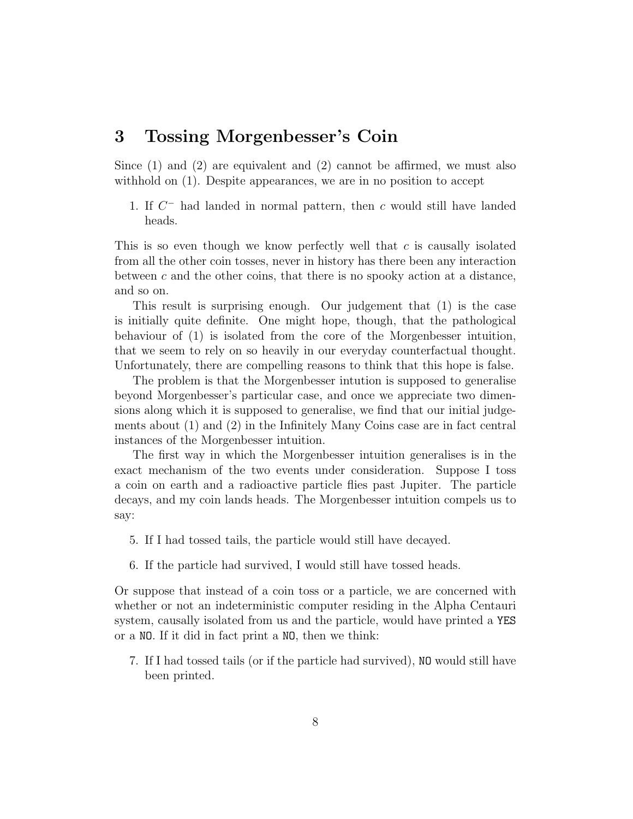### <span id="page-7-0"></span>3 Tossing Morgenbesser's Coin

Since [\(1\)](#page-1-0) and [\(2\)](#page-2-0) are equivalent and [\(2\)](#page-2-0) cannot be affirmed, we must also withhold on  $(1)$ . Despite appearances, we are in no position to accept

1. If  $C^-$  had landed in normal pattern, then c would still have landed heads.

This is so even though we know perfectly well that  $c$  is causally isolated from all the other coin tosses, never in history has there been any interaction between c and the other coins, that there is no spooky action at a distance, and so on.

This result is surprising enough. Our judgement that [\(1\)](#page-1-0) is the case is initially quite definite. One might hope, though, that the pathological behaviour of [\(1\)](#page-1-0) is isolated from the core of the Morgenbesser intuition, that we seem to rely on so heavily in our everyday counterfactual thought. Unfortunately, there are compelling reasons to think that this hope is false.

The problem is that the Morgenbesser intution is supposed to generalise beyond Morgenbesser's particular case, and once we appreciate two dimensions along which it is supposed to generalise, we find that our initial judgements about [\(1\)](#page-1-0) and [\(2\)](#page-2-0) in the Infinitely Many Coins case are in fact central instances of the Morgenbesser intuition.

The first way in which the Morgenbesser intuition generalises is in the exact mechanism of the two events under consideration. Suppose I toss a coin on earth and a radioactive particle flies past Jupiter. The particle decays, and my coin lands heads. The Morgenbesser intuition compels us to say:

- <span id="page-7-1"></span>5. If I had tossed tails, the particle would still have decayed.
- 6. If the particle had survived, I would still have tossed heads.

Or suppose that instead of a coin toss or a particle, we are concerned with whether or not an indeterministic computer residing in the Alpha Centauri system, causally isolated from us and the particle, would have printed a YES or a NO. If it did in fact print a NO, then we think:

7. If I had tossed tails (or if the particle had survived), NO would still have been printed.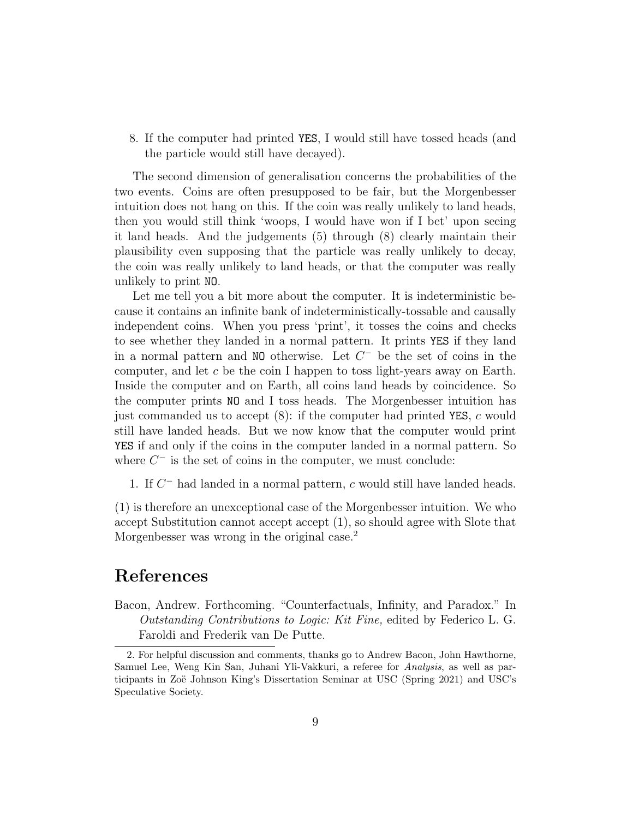<span id="page-8-1"></span>8. If the computer had printed YES, I would still have tossed heads (and the particle would still have decayed).

The second dimension of generalisation concerns the probabilities of the two events. Coins are often presupposed to be fair, but the Morgenbesser intuition does not hang on this. If the coin was really unlikely to land heads, then you would still think 'woops, I would have won if I bet' upon seeing it land heads. And the judgements [\(5\)](#page-7-1) through [\(8\)](#page-8-1) clearly maintain their plausibility even supposing that the particle was really unlikely to decay, the coin was really unlikely to land heads, or that the computer was really unlikely to print NO.

Let me tell you a bit more about the computer. It is indeterministic because it contains an infinite bank of indeterministically-tossable and causally independent coins. When you press 'print', it tosses the coins and checks to see whether they landed in a normal pattern. It prints YES if they land in a normal pattern and  $NO$  otherwise. Let  $C^-$  be the set of coins in the computer, and let  $c$  be the coin I happen to toss light-years away on Earth. Inside the computer and on Earth, all coins land heads by coincidence. So the computer prints NO and I toss heads. The Morgenbesser intuition has just commanded us to accept  $(8)$ : if the computer had printed YES, c would still have landed heads. But we now know that the computer would print YES if and only if the coins in the computer landed in a normal pattern. So where  $C^-$  is the set of coins in the computer, we must conclude:

1. If  $C^-$  had landed in a normal pattern,  $c$  would still have landed heads.

[\(1\)](#page-1-0) is therefore an unexceptional case of the Morgenbesser intuition. We who accept Substitution cannot accept accept [\(1\)](#page-1-0), so should agree with Slote that Morgenbesser was wrong in the original case.<sup>[2](#page-8-2)</sup>

## References

<span id="page-8-0"></span>Bacon, Andrew. Forthcoming. "Counterfactuals, Infinity, and Paradox." In Outstanding Contributions to Logic: Kit Fine, edited by Federico L. G. Faroldi and Frederik van De Putte.

<span id="page-8-2"></span><sup>2.</sup> For helpful discussion and comments, thanks go to Andrew Bacon, John Hawthorne, Samuel Lee, Weng Kin San, Juhani Yli-Vakkuri, a referee for Analysis, as well as participants in Zoë Johnson King's Dissertation Seminar at USC (Spring 2021) and USC's Speculative Society.